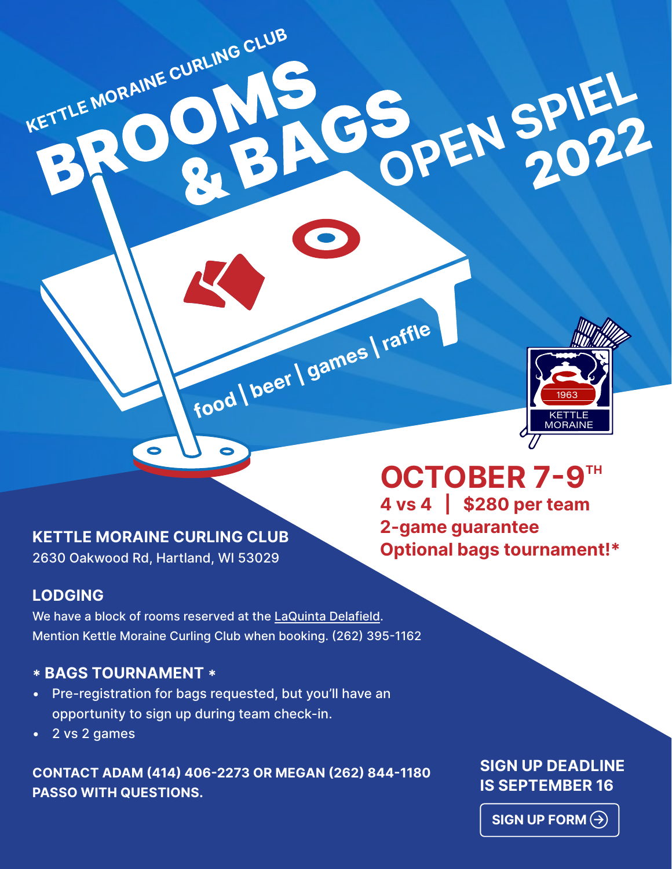

## **CETTLE MORAINE CURLING CLUB**<br>2620 Optional bags tournament!\* 2630 Oakwood Rd, Hartland, WI 53029

**KETTLE MORAINE CURLING CLUB** 

## **LODGING**

We have a block of rooms reserved at the [LaQuinta Delafield](https://www.wyndhamhotels.com/laquinta/delafield-wisconsin/la-quinta-milwaukee-delafield/overview?CID=LC:LQ::GGL:RIO:National:53377&iata=00093796). Mention Kettle Moraine Curling Club when booking. (262) 395-1162

**food | beer | games | raffle**

#### **\* BAGS TOURNAMENT \***

- Pre-registration for bags requested, but you'll have an opportunity to sign up during team check-in.
- 2 vs 2 games

**CONTACT ADAM (414) 406-2273 OR MEGAN (262) 844-1180 PASSO WITH QUESTIONS.**

# OCTOBER 7-9TH **4 vs 4 | \$280 per team 2-game guarantee**

**OPEN SPIEL** 2022

# **SIGN UP DEADLINE IS SEPTEMBER 16**

**SIGN UP FORM**